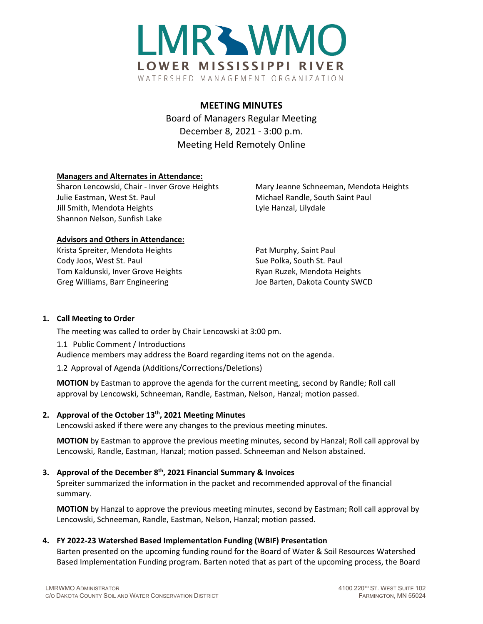

# **MEETING MINUTES**

Board of Managers Regular Meeting December 8, 2021 - 3:00 p.m. Meeting Held Remotely Online

# **Managers and Alternates in Attendance:**

Sharon Lencowski, Chair - Inver Grove Heights Mary Jeanne Schneeman, Mendota Heights Julie Eastman, West St. Paul Michael Randle, South Saint Paul Jill Smith, Mendota Heights Lyle Hanzal, Lilydale Shannon Nelson, Sunfish Lake

## **Advisors and Others in Attendance:**

Krista Spreiter, Mendota Heights Pat Murphy, Saint Paul Cody Joos, West St. Paul Sue Polka, South St. Paul Sue Polka, South St. Paul Tom Kaldunski, Inver Grove Heights **Ryan Ruzek, Mendota Heights** Ryan Ruzek, Mendota Heights Greg Williams, Barr Engineering The Matter of Barten, Dakota County SWCD

# **1. Call Meeting to Order**

The meeting was called to order by Chair Lencowski at 3:00 pm.

1.1 Public Comment / Introductions Audience members may address the Board regarding items not on the agenda.

1.2 Approval of Agenda (Additions/Corrections/Deletions)

**MOTION** by Eastman to approve the agenda for the current meeting, second by Randle; Roll call approval by Lencowski, Schneeman, Randle, Eastman, Nelson, Hanzal; motion passed.

## **2. Approval of the October 13th, 2021 Meeting Minutes**

Lencowski asked if there were any changes to the previous meeting minutes.

**MOTION** by Eastman to approve the previous meeting minutes, second by Hanzal; Roll call approval by Lencowski, Randle, Eastman, Hanzal; motion passed. Schneeman and Nelson abstained.

# **3. Approval of the December 8th, 2021 Financial Summary & Invoices**

Spreiter summarized the information in the packet and recommended approval of the financial summary.

**MOTION** by Hanzal to approve the previous meeting minutes, second by Eastman; Roll call approval by Lencowski, Schneeman, Randle, Eastman, Nelson, Hanzal; motion passed.

## **4. FY 2022-23 Watershed Based Implementation Funding (WBIF) Presentation**

Barten presented on the upcoming funding round for the Board of Water & Soil Resources Watershed Based Implementation Funding program. Barten noted that as part of the upcoming process, the Board